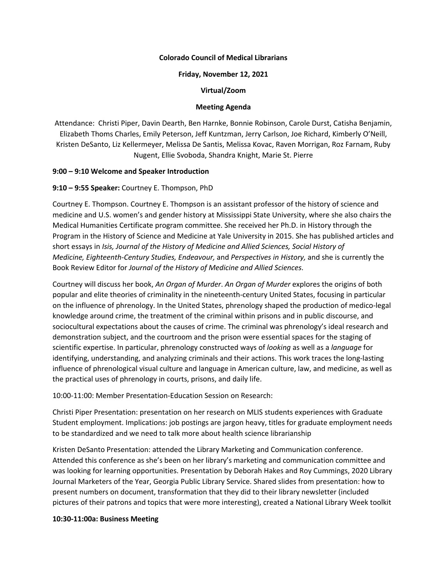## **Colorado Council of Medical Librarians**

### **Friday, November 12, 2021**

# **Virtual/Zoom**

### **Meeting Agenda**

Attendance: Christi Piper, Davin Dearth, Ben Harnke, Bonnie Robinson, Carole Durst, Catisha Benjamin, Elizabeth Thoms Charles, Emily Peterson, Jeff Kuntzman, Jerry Carlson, Joe Richard, Kimberly O'Neill, Kristen DeSanto, Liz Kellermeyer, Melissa De Santis, Melissa Kovac, Raven Morrigan, Roz Farnam, Ruby Nugent, Ellie Svoboda, Shandra Knight, Marie St. Pierre

## **9:00 – 9:10 Welcome and Speaker Introduction**

## **9:10 – 9:55 Speaker:** Courtney E. Thompson, PhD

Courtney E. Thompson. Courtney E. Thompson is an assistant professor of the history of science and medicine and U.S. women's and gender history at Mississippi State University, where she also chairs the Medical Humanities Certificate program committee. She received her Ph.D. in History through the Program in the History of Science and Medicine at Yale University in 2015. She has published articles and short essays in *Isis, Journal of the History of Medicine and Allied Sciences, Social History of Medicine, Eighteenth-Century Studies, Endeavour,* and *Perspectives in History,* and she is currently the Book Review Editor for *Journal of the History of Medicine and Allied Sciences*.

Courtney will discuss her book, *An Organ of Murder*. *An Organ of Murder* explores the origins of both popular and elite theories of criminality in the nineteenth-century United States, focusing in particular on the influence of phrenology. In the United States, phrenology shaped the production of medico-legal knowledge around crime, the treatment of the criminal within prisons and in public discourse, and sociocultural expectations about the causes of crime. The criminal was phrenology's ideal research and demonstration subject, and the courtroom and the prison were essential spaces for the staging of scientific expertise. In particular, phrenology constructed ways of *looking* as well as a *language* for identifying, understanding, and analyzing criminals and their actions. This work traces the long-lasting influence of phrenological visual culture and language in American culture, law, and medicine, as well as the practical uses of phrenology in courts, prisons, and daily life.

10:00-11:00: Member Presentation-Education Session on Research:

Christi Piper Presentation: presentation on her research on MLIS students experiences with Graduate Student employment. Implications: job postings are jargon heavy, titles for graduate employment needs to be standardized and we need to talk more about health science librarianship

Kristen DeSanto Presentation: attended the Library Marketing and Communication conference. Attended this conference as she's been on her library's marketing and communication committee and was looking for learning opportunities. Presentation by Deborah Hakes and Roy Cummings, 2020 Library Journal Marketers of the Year, Georgia Public Library Service. Shared slides from presentation: how to present numbers on document, transformation that they did to their library newsletter (included pictures of their patrons and topics that were more interesting), created a National Library Week toolkit

#### **10:30-11:00a: Business Meeting**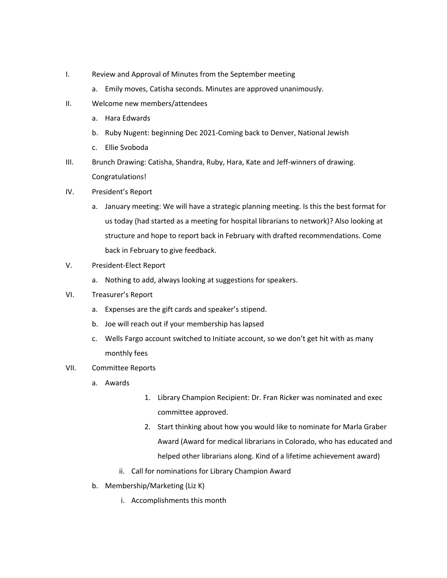- I. Review and Approval of Minutes from the September meeting
	- a. Emily moves, Catisha seconds. Minutes are approved unanimously.
- II. Welcome new members/attendees
	- a. Hara Edwards
	- b. Ruby Nugent: beginning Dec 2021-Coming back to Denver, National Jewish
	- c. Ellie Svoboda
- III. Brunch Drawing: Catisha, Shandra, Ruby, Hara, Kate and Jeff-winners of drawing. Congratulations!
- IV. President's Report
	- a. January meeting: We will have a strategic planning meeting. Is this the best format for us today (had started as a meeting for hospital librarians to network)? Also looking at structure and hope to report back in February with drafted recommendations. Come back in February to give feedback.
- V. President-Elect Report
	- a. Nothing to add, always looking at suggestions for speakers.
- VI. Treasurer's Report
	- a. Expenses are the gift cards and speaker's stipend.
	- b. Joe will reach out if your membership has lapsed
	- c. Wells Fargo account switched to Initiate account, so we don't get hit with as many monthly fees
- VII. Committee Reports
	- a. Awards
- 1. Library Champion Recipient: Dr. Fran Ricker was nominated and exec committee approved.
- 2. Start thinking about how you would like to nominate for Marla Graber Award (Award for medical librarians in Colorado, who has educated and helped other librarians along. Kind of a lifetime achievement award)
- ii. Call for nominations for Library Champion Award
- b. Membership/Marketing (Liz K)
	- i. Accomplishments this month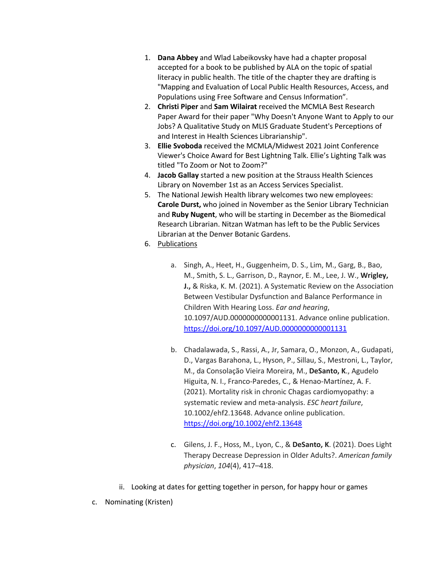- 1. **Dana Abbey** and Wlad Labeikovsky have had a chapter proposal accepted for a book to be published by ALA on the topic of spatial literacy in public health. The title of the chapter they are drafting is "Mapping and Evaluation of Local Public Health Resources, Access, and Populations using Free Software and Census Information".
- 2. **Christi Piper** and **Sam Wilairat** received the MCMLA Best Research Paper Award for their paper "Why Doesn't Anyone Want to Apply to our Jobs? A Qualitative Study on MLIS Graduate Student's Perceptions of and Interest in Health Sciences Librarianship".
- 3. **Ellie Svoboda** received the MCMLA/Midwest 2021 Joint Conference Viewer's Choice Award for Best Lightning Talk. Ellie's Lighting Talk was titled "To Zoom or Not to Zoom?"
- 4. **Jacob Gallay** started a new position at the Strauss Health Sciences Library on November 1st as an Access Services Specialist.
- 5. The National Jewish Health library welcomes two new employees: **Carole Durst,** who joined in November as the Senior Library Technician and **Ruby Nugent**, who will be starting in December as the Biomedical Research Librarian. Nitzan Watman has left to be the Public Services Librarian at the Denver Botanic Gardens.
- 6. Publications
	- a. Singh, A., Heet, H., Guggenheim, D. S., Lim, M., Garg, B., Bao, M., Smith, S. L., Garrison, D., Raynor, E. M., Lee, J. W., **Wrigley, J.,** & Riska, K. M. (2021). A Systematic Review on the Association Between Vestibular Dysfunction and Balance Performance in Children With Hearing Loss. *Ear and hearing*, 10.1097/AUD.0000000000001131. Advance online publication. https://doi.org/10.1097/AUD.0000000000001131
	- b. Chadalawada, S., Rassi, A., Jr, Samara, O., Monzon, A., Gudapati, D., Vargas Barahona, L., Hyson, P., Sillau, S., Mestroni, L., Taylor, M., da Consolação Vieira Moreira, M., **DeSanto, K**., Agudelo Higuita, N. I., Franco-Paredes, C., & Henao-Martínez, A. F. (2021). Mortality risk in chronic Chagas cardiomyopathy: a systematic review and meta-analysis. *ESC heart failure*, 10.1002/ehf2.13648. Advance online publication. https://doi.org/10.1002/ehf2.13648
	- c. Gilens, J. F., Hoss, M., Lyon, C., & **DeSanto, K**. (2021). Does Light Therapy Decrease Depression in Older Adults?. *American family physician*, *104*(4), 417–418.
- ii. Looking at dates for getting together in person, for happy hour or games
- c. Nominating (Kristen)